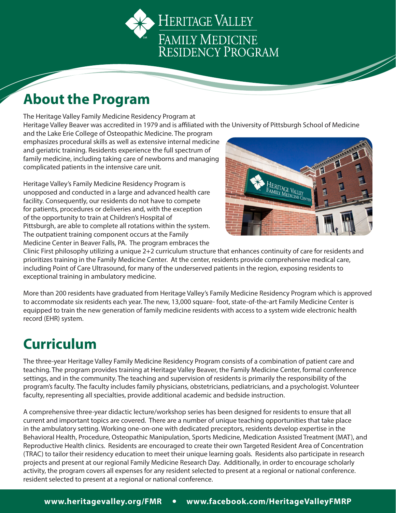HERITAGE VALLEY FAMILY MEDICINE RESIDENCY PROGRAM

### **About the Program**

The Heritage Valley Family Medicine Residency Program at Heritage Valley Beaver was accredited in 1979 and is affiliated with the University of Pittsburgh School of Medicine

and the Lake Erie College of Osteopathic Medicine. The program emphasizes procedural skills as well as extensive internal medicine and geriatric training. Residents experience the full spectrum of family medicine, including taking care of newborns and managing complicated patients in the intensive care unit.

Heritage Valley's Family Medicine Residency Program is unopposed and conducted in a large and advanced health care facility. Consequently, our residents do not have to compete for patients, procedures or deliveries and, with the exception of the opportunity to train at Children's Hospital of Pittsburgh, are able to complete all rotations within the system. The outpatient training component occurs at the Family Medicine Center in Beaver Falls, PA. The program embraces the



Clinic First philosophy utilizing a unique 2+2 curriculum structure that enhances continuity of care for residents and prioritizes training in the Family Medicine Center. At the center, residents provide comprehensive medical care, including Point of Care Ultrasound, for many of the underserved patients in the region, exposing residents to exceptional training in ambulatory medicine.

More than 200 residents have graduated from Heritage Valley's Family Medicine Residency Program which is approved to accommodate six residents each year. The new, 13,000 square- foot, state-of-the-art Family Medicine Center is equipped to train the new generation of family medicine residents with access to a system wide electronic health record (EHR) system.

# **Curriculum**

The three-year Heritage Valley Family Medicine Residency Program consists of a combination of patient care and teaching. The program provides training at Heritage Valley Beaver, the Family Medicine Center, formal conference settings, and in the community. The teaching and supervision of residents is primarily the responsibility of the program's faculty. The faculty includes family physicians, obstetricians, pediatricians, and a psychologist. Volunteer faculty, representing all specialties, provide additional academic and bedside instruction.

A comprehensive three-year didactic lecture/workshop series has been designed for residents to ensure that all current and important topics are covered. There are a number of unique teaching opportunities that take place in the ambulatory setting. Working one-on-one with dedicated preceptors, residents develop expertise in the Behavioral Health, Procedure, Osteopathic Manipulation, Sports Medicine, Medication Assisted Treatment (MAT), and Reproductive Health clinics. Residents are encouraged to create their own Targeted Resident Area of Concentration (TRAC) to tailor their residency education to meet their unique learning goals. Residents also participate in research projects and present at our regional Family Medicine Research Day. Additionally, in order to encourage scholarly activity, the program covers all expenses for any resident selected to present at a regional or national conference. resident selected to present at a regional or national conference.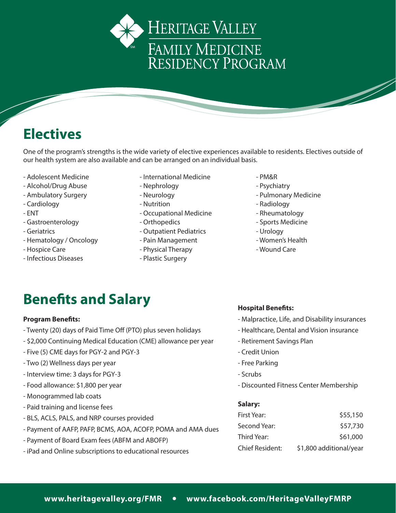



One of the program's strengths is the wide variety of elective experiences available to residents. Electives outside of our health system are also available and can be arranged on an individual basis.

- 
- Alcohol/Drug Abuse Nephrology Nephrology Psychiatry
- 
- 
- 
- Gastroenterology  **Critician Continuedical Control** Sports Medicine
- 
- Hematology / Oncology **Fain Management Fain Management Fain Management Facture 1** Women's Health
- 
- Infectious Diseases **Exercise Surgery**
- Adolescent Medicine International Medicine PM&R
	-
	-
	-
- ENT Cocupational Medicine The Rheumatology
	-
- Geriatrics  **Cutpatient Pediatrics** Urology
	-
- Hospice Care **East Care East Control** Physical Therapy **Figure 2** Wound Care
	-
- 
- 
- Ambulatory Surgery **Automatic Exercise** Neurology **Contains the Contract Contract Pulmonary Medicine**
- Cardiology  **Nutrition** Nutrition **Facility** Radiology Radiology
	-
	-
	-
	-
	-

### **Benefits and Salary**

#### **Program Benefits:**

- Twenty (20) days of Paid Time Off (PTO) plus seven holidays
- \$2,000 Continuing Medical Education (CME) allowance per year
- Five (5) CME days for PGY‐2 and PGY‐3
- Two (2) Wellness days per year
- Interview time: 3 days for PGY‐3
- Food allowance: \$1,800 per year
- Monogrammed lab coats
- Paid training and license fees
- BLS, ACLS, PALS, and NRP courses provided
- Payment of AAFP, PAFP, BCMS, AOA, ACOFP, POMA and AMA dues
- Payment of Board Exam fees (ABFM and ABOFP)
- iPad and Online subscriptions to educational resources

### **Hospital Benefits:**

- Malpractice, Life, and Disability insurances
- Healthcare, Dental and Vision insurance
- Retirement Savings Plan
- Credit Union
- Free Parking
- Scrubs
- Discounted Fitness Center Membership

#### **Salary:**

| First Year:     | \$55,150                |
|-----------------|-------------------------|
| Second Year:    | \$57,730                |
| Third Year:     | \$61,000                |
| Chief Resident: | \$1,800 additional/year |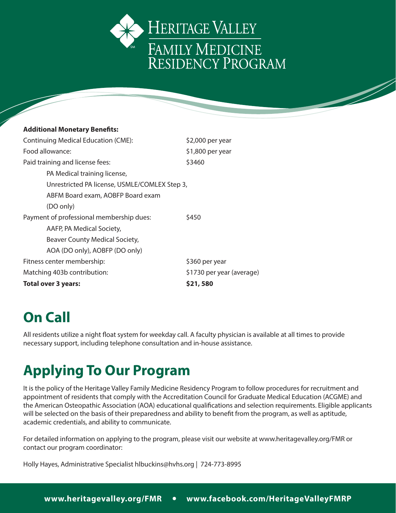

### **Additional Monetary Benefits:** Continuing Medical Education (CME): \$2,000 per year Food allowance:  $\angle$  \$1,800 per year Paid training and license fees:  $$3460$ PA Medical training license, Unrestricted PA license, USMLE/COMLEX Step 3, ABFM Board exam, AOBFP Board exam (DO only) Payment of professional membership dues:  $\frac{1}{2}$  \$450 AAFP, PA Medical Society, Beaver County Medical Society, AOA (DO only), AOBFP (DO only) Fitness center membership:  $\frac{1}{360}$  per year Matching 403b contribution:  $\frac{1}{2}$  \$1730 per year (average) **Total over 3 years: \$21, 580**

# **On Call**

All residents utilize a night float system for weekday call. A faculty physician is available at all times to provide necessary support, including telephone consultation and in‐house assistance.

### **Applying To Our Program**

It is the policy of the Heritage Valley Family Medicine Residency Program to follow procedures for recruitment and appointment of residents that comply with the Accreditation Council for Graduate Medical Education (ACGME) and the American Osteopathic Association (AOA) educational qualifications and selection requirements. Eligible applicants will be selected on the basis of their preparedness and ability to benefit from the program, as well as aptitude, academic credentials, and ability to communicate.

For detailed information on applying to the program, please visit our website at www.heritagevalley.org/FMR or contact our program coordinator:

Holly Hayes, Administrative Specialist hlbuckins@hvhs.org | 724-773-8995